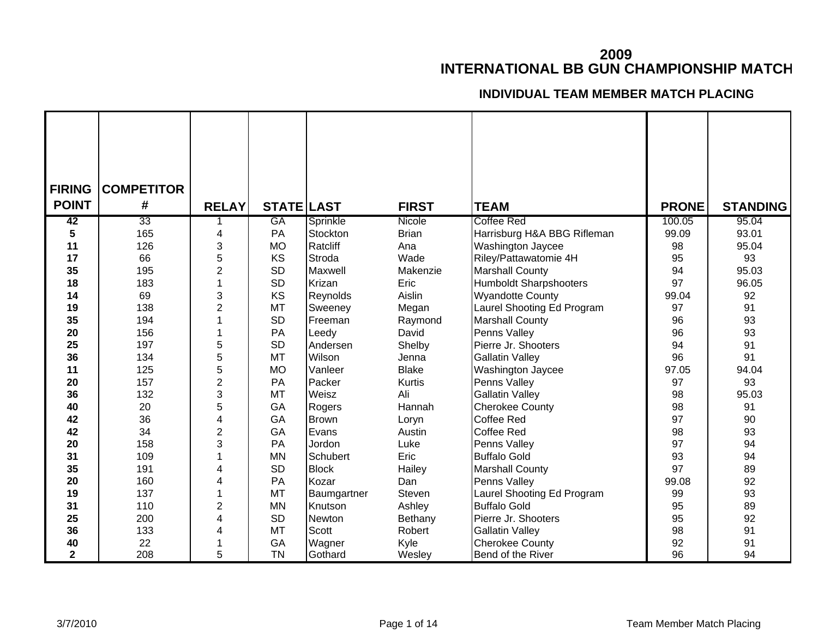## **2009INTERNATIONAL BB GUN CHAMPIONSHIP MATCH**

## **INDIVIDUAL TEAM MEMBER MATCH PLACING**

| <b>FIRING</b> | <b>COMPETITOR</b> |                |                   |               |              |                               |              |                 |
|---------------|-------------------|----------------|-------------------|---------------|--------------|-------------------------------|--------------|-----------------|
| <b>POINT</b>  | #                 | <b>RELAY</b>   | <b>STATE LAST</b> |               | <b>FIRST</b> | <b>TEAM</b>                   | <b>PRONE</b> | <b>STANDING</b> |
|               |                   |                |                   |               |              |                               |              |                 |
| 42            | 33                |                | <b>GA</b>         | Sprinkle      | Nicole       | <b>Coffee Red</b>             | 100.05       | 95.04           |
| 5             | 165               | 4              | PA                | Stockton      | <b>Brian</b> | Harrisburg H&A BBG Rifleman   | 99.09        | 93.01           |
| 11            | 126               | 3              | <b>MO</b>         | Ratcliff      | Ana          | Washington Jaycee             | 98           | 95.04           |
| 17            | 66                | 5              | KS                | Stroda        | Wade         | Riley/Pattawatomie 4H         | 95           | 93              |
| 35            | 195               | 2              | <b>SD</b>         | Maxwell       | Makenzie     | <b>Marshall County</b>        | 94           | 95.03           |
| 18            | 183               |                | <b>SD</b>         | Krizan        | Eric         | <b>Humboldt Sharpshooters</b> | 97           | 96.05           |
| 14            | 69                | 3              | KS                | Reynolds      | Aislin       | <b>Wyandotte County</b>       | 99.04        | 92              |
| 19            | 138               | 2              | <b>MT</b>         | Sweeney       | Megan        | Laurel Shooting Ed Program    | 97           | 91              |
| 35            | 194               |                | <b>SD</b>         | Freeman       | Raymond      | <b>Marshall County</b>        | 96           | 93              |
| 20            | 156               |                | PA                | Leedy         | David        | Penns Valley                  | 96           | 93              |
| 25            | 197               | 5              | <b>SD</b>         | Andersen      | Shelby       | Pierre Jr. Shooters           | 94           | 91              |
| 36            | 134               | 5              | <b>MT</b>         | Wilson        | Jenna        | <b>Gallatin Valley</b>        | 96           | 91              |
| 11            | 125               | 5              | <b>MO</b>         | Vanleer       | <b>Blake</b> | Washington Jaycee             | 97.05        | 94.04           |
| 20            | 157               | $\overline{c}$ | PA                | Packer        | Kurtis       | Penns Valley                  | 97           | 93              |
| 36            | 132               | 3              | <b>MT</b>         | Weisz         | Ali          | <b>Gallatin Valley</b>        | 98           | 95.03           |
| 40            | 20                | 5              | GA                | Rogers        | Hannah       | <b>Cherokee County</b>        | 98           | 91              |
| 42            | 36                | 4              | GA                | <b>Brown</b>  | Loryn        | <b>Coffee Red</b>             | 97           | 90              |
| 42            | 34                | $\overline{2}$ | GA                | Evans         | Austin       | Coffee Red                    | 98           | 93              |
| 20            | 158               | 3              | PA                | Jordon        | Luke         | Penns Valley                  | 97           | 94              |
| 31            | 109               |                | <b>MN</b>         | Schubert      | Eric         | <b>Buffalo Gold</b>           | 93           | 94              |
| 35            | 191               | Δ              | <b>SD</b>         | <b>Block</b>  | Hailey       | <b>Marshall County</b>        | 97           | 89              |
| 20            | 160               | 4              | PA                | Kozar         | Dan          | Penns Valley                  | 99.08        | 92              |
| 19            | 137               |                | <b>MT</b>         | Baumgartner   | Steven       | Laurel Shooting Ed Program    | 99           | 93              |
| 31            | 110               | 2              | <b>MN</b>         | Knutson       | Ashley       | <b>Buffalo Gold</b>           | 95           | 89              |
| 25            | 200               | 4              | <b>SD</b>         | <b>Newton</b> | Bethany      | Pierre Jr. Shooters           | 95           | 92              |
| 36            | 133               | 4              | <b>MT</b>         | Scott         | Robert       | <b>Gallatin Valley</b>        | 98           | 91              |
| 40            | 22                |                | GA                | Wagner        | Kyle         | <b>Cherokee County</b>        | 92           | 91              |
| $\mathbf 2$   | 208               | 5              | <b>TN</b>         | Gothard       | Wesley       | Bend of the River             | 96           | 94              |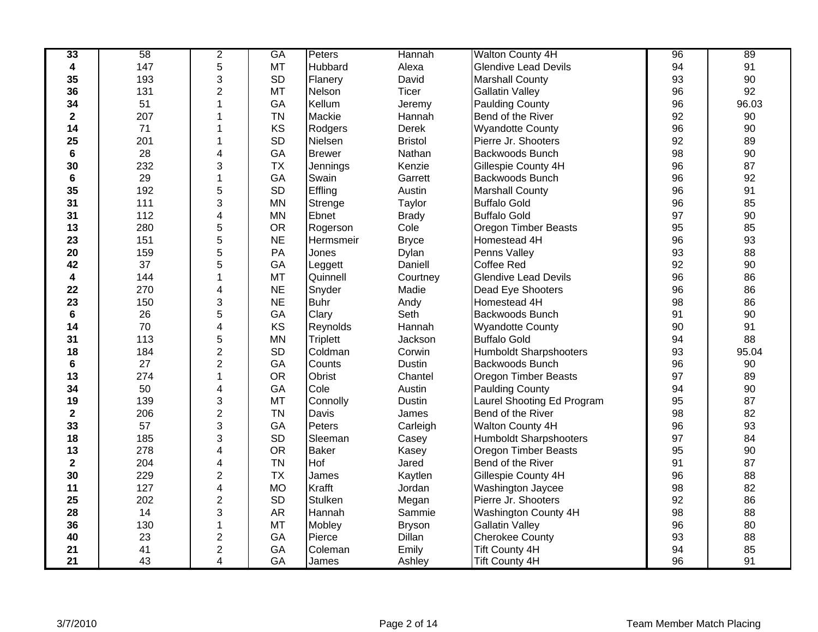| 33                      | 58  | $\overline{2}$          | <b>GA</b> | Peters          | Hannah         | Walton County 4H              | 96 | 89    |
|-------------------------|-----|-------------------------|-----------|-----------------|----------------|-------------------------------|----|-------|
| 4                       | 147 | 5                       | MT        | Hubbard         | Alexa          | <b>Glendive Lead Devils</b>   | 94 | 91    |
| 35                      | 193 | 3                       | <b>SD</b> | Flanery         | David          | <b>Marshall County</b>        | 93 | 90    |
| 36                      | 131 | $\overline{2}$          | <b>MT</b> | Nelson          | <b>Ticer</b>   | <b>Gallatin Valley</b>        | 96 | 92    |
| 34                      | 51  | 1                       | GA        | Kellum          | Jeremy         | <b>Paulding County</b>        | 96 | 96.03 |
| $\mathbf 2$             | 207 |                         | <b>TN</b> | Mackie          | Hannah         | Bend of the River             | 92 | 90    |
| 14                      | 71  |                         | KS        | Rodgers         | Derek          | <b>Wyandotte County</b>       | 96 | 90    |
| 25                      | 201 | 1                       | <b>SD</b> | Nielsen         | <b>Bristol</b> | Pierre Jr. Shooters           | 92 | 89    |
| 6                       | 28  | 4                       | GA        | <b>Brewer</b>   | Nathan         | Backwoods Bunch               | 98 | 90    |
| 30                      | 232 | 3                       | <b>TX</b> | Jennings        | Kenzie         | Gillespie County 4H           | 96 | 87    |
| 6                       | 29  | 1                       | GA        | Swain           | Garrett        | Backwoods Bunch               | 96 | 92    |
| 35                      | 192 | 5                       | SD        | Effling         | Austin         | <b>Marshall County</b>        | 96 | 91    |
| 31                      | 111 | 3                       | <b>MN</b> | Strenge         | Taylor         | <b>Buffalo Gold</b>           | 96 | 85    |
| 31                      | 112 | 4                       | MN        | Ebnet           | <b>Brady</b>   | <b>Buffalo Gold</b>           | 97 | 90    |
| 13                      | 280 | 5                       | <b>OR</b> | Rogerson        | Cole           | Oregon Timber Beasts          | 95 | 85    |
| 23                      | 151 | 5                       | <b>NE</b> | Hermsmeir       | <b>Bryce</b>   | Homestead 4H                  | 96 | 93    |
| 20                      | 159 | 5                       | PA        | Jones           | Dylan          | Penns Valley                  | 93 | 88    |
| 42                      | 37  | 5                       | GA        | Leggett         | Daniell        | Coffee Red                    | 92 | 90    |
| 4                       | 144 |                         | <b>MT</b> | Quinnell        | Courtney       | <b>Glendive Lead Devils</b>   | 96 | 86    |
| 22                      | 270 | 4                       | <b>NE</b> | Snyder          | Madie          | Dead Eye Shooters             | 96 | 86    |
| 23                      | 150 | 3                       | <b>NE</b> | <b>Buhr</b>     | Andy           | Homestead 4H                  | 98 | 86    |
| 6                       | 26  | 5                       | GA        | Clary           | Seth           | <b>Backwoods Bunch</b>        | 91 | 90    |
| 14                      | 70  | 4                       | KS        | Reynolds        | Hannah         | <b>Wyandotte County</b>       | 90 | 91    |
| 31                      | 113 | 5                       | MN        | <b>Triplett</b> | Jackson        | <b>Buffalo Gold</b>           | 94 | 88    |
| 18                      | 184 | $\overline{2}$          | <b>SD</b> | Coldman         | Corwin         | <b>Humboldt Sharpshooters</b> | 93 | 95.04 |
| 6                       | 27  | $\overline{2}$          | GA        | Counts          | Dustin         | <b>Backwoods Bunch</b>        | 96 | 90    |
| 13                      | 274 | 1                       | <b>OR</b> | Obrist          | Chantel        | <b>Oregon Timber Beasts</b>   | 97 | 89    |
| 34                      | 50  | 4                       | GA        | Cole            | Austin         | <b>Paulding County</b>        | 94 | 90    |
| 19                      | 139 | 3                       | <b>MT</b> | Connolly        | Dustin         | Laurel Shooting Ed Program    | 95 | 87    |
| $\mathbf{2}$            | 206 | $\overline{2}$          | <b>TN</b> | Davis           | James          | Bend of the River             | 98 | 82    |
| 33                      | 57  | 3                       | GA        | Peters          | Carleigh       | Walton County 4H              | 96 | 93    |
| 18                      | 185 | 3                       | SD        | Sleeman         | Casey          | <b>Humboldt Sharpshooters</b> | 97 | 84    |
| 13                      | 278 | 4                       | <b>OR</b> | <b>Baker</b>    | Kasey          | <b>Oregon Timber Beasts</b>   | 95 | 90    |
| $\overline{\mathbf{2}}$ | 204 | 4                       | <b>TN</b> | Hof             | Jared          | Bend of the River             | 91 | 87    |
| 30                      | 229 | 2                       | <b>TX</b> | James           | Kaytlen        | Gillespie County 4H           | 96 | 88    |
| 11                      | 127 | 4                       | <b>MO</b> | Krafft          | Jordan         | Washington Jaycee             | 98 | 82    |
| 25                      | 202 | $\overline{2}$          | <b>SD</b> | <b>Stulken</b>  | Megan          | Pierre Jr. Shooters           | 92 | 86    |
| 28                      | 14  | 3                       | <b>AR</b> | Hannah          | Sammie         | Washington County 4H          | 98 | 88    |
| 36                      | 130 | 1                       | MT        | Mobley          | <b>Bryson</b>  | <b>Gallatin Valley</b>        | 96 | 80    |
| 40                      | 23  | $\overline{\mathbf{c}}$ | GA        | Pierce          | Dillan         | <b>Cherokee County</b>        | 93 | 88    |
| 21                      | 41  | $\overline{\mathbf{c}}$ | GA        | Coleman         | Emily          | <b>Tift County 4H</b>         | 94 | 85    |
| 21                      | 43  | 4                       | GA        | James           | Ashley         | <b>Tift County 4H</b>         | 96 | 91    |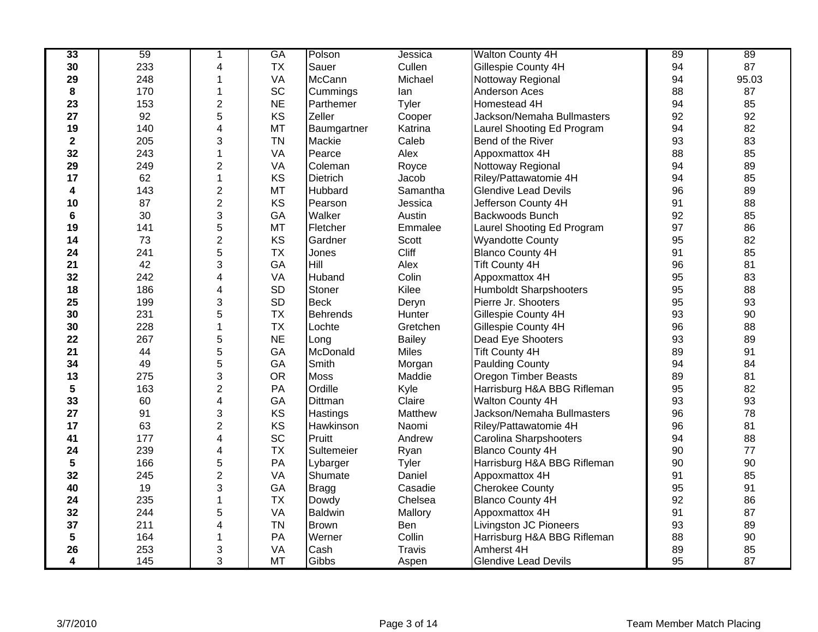| 33           | 59  | 1                       | <b>GA</b> | Polson          | Jessica       | <b>Walton County 4H</b>       | 89 | 89    |
|--------------|-----|-------------------------|-----------|-----------------|---------------|-------------------------------|----|-------|
| 30           | 233 | 4                       | <b>TX</b> | Sauer           | Cullen        | Gillespie County 4H           | 94 | 87    |
| 29           | 248 | 1                       | VA        | McCann          | Michael       | Nottoway Regional             | 94 | 95.03 |
| 8            | 170 |                         | SC        | Cummings        | lan           | <b>Anderson Aces</b>          | 88 | 87    |
| 23           | 153 | $\overline{2}$          | <b>NE</b> | Parthemer       | Tyler         | Homestead 4H                  | 94 | 85    |
| 27           | 92  | 5                       | KS        | Zeller          | Cooper        | Jackson/Nemaha Bullmasters    | 92 | 92    |
| 19           | 140 | 4                       | <b>MT</b> | Baumgartner     | Katrina       | Laurel Shooting Ed Program    | 94 | 82    |
| $\mathbf{2}$ | 205 | 3                       | <b>TN</b> | Mackie          | Caleb         | Bend of the River             | 93 | 83    |
| 32           | 243 | 1                       | VA        | Pearce          | Alex          | Appoxmattox 4H                | 88 | 85    |
| 29           | 249 | $\overline{c}$          | VA        | Coleman         | Royce         | Nottoway Regional             | 94 | 89    |
| 17           | 62  | $\overline{1}$          | KS        | <b>Dietrich</b> | Jacob         | Riley/Pattawatomie 4H         | 94 | 85    |
| 4            | 143 | $\overline{c}$          | <b>MT</b> | Hubbard         | Samantha      | <b>Glendive Lead Devils</b>   | 96 | 89    |
| 10           | 87  | $\overline{2}$          | KS        | Pearson         | Jessica       | Jefferson County 4H           | 91 | 88    |
| 6            | 30  | 3                       | GA        | Walker          | Austin        | Backwoods Bunch               | 92 | 85    |
| 19           | 141 | 5                       | MT        | Fletcher        | Emmalee       | Laurel Shooting Ed Program    | 97 | 86    |
| 14           | 73  | $\overline{\mathbf{c}}$ | KS        | Gardner         | Scott         | <b>Wyandotte County</b>       | 95 | 82    |
| 24           | 241 | 5                       | <b>TX</b> | Jones           | Cliff         | <b>Blanco County 4H</b>       | 91 | 85    |
| 21           | 42  | 3                       | GA        | Hill            | Alex          | <b>Tift County 4H</b>         | 96 | 81    |
| 32           | 242 | 4                       | VA        | Huband          | Colin         | Appoxmattox 4H                | 95 | 83    |
| 18           | 186 | 4                       | <b>SD</b> | Stoner          | Kilee         | <b>Humboldt Sharpshooters</b> | 95 | 88    |
| 25           | 199 | 3                       | <b>SD</b> | <b>Beck</b>     | Deryn         | Pierre Jr. Shooters           | 95 | 93    |
| 30           | 231 | 5                       | <b>TX</b> | <b>Behrends</b> | Hunter        | Gillespie County 4H           | 93 | 90    |
| 30           | 228 | 1                       | <b>TX</b> | Lochte          | Gretchen      | Gillespie County 4H           | 96 | 88    |
| 22           | 267 | 5                       | <b>NE</b> | Long            | <b>Bailey</b> | Dead Eye Shooters             | 93 | 89    |
| 21           | 44  | 5                       | GA        | McDonald        | <b>Miles</b>  | <b>Tift County 4H</b>         | 89 | 91    |
| 34           | 49  | 5                       | GA        | Smith           | Morgan        | <b>Paulding County</b>        | 94 | 84    |
| 13           | 275 | 3                       | <b>OR</b> | <b>Moss</b>     | Maddie        | <b>Oregon Timber Beasts</b>   | 89 | 81    |
| 5            | 163 | $\overline{\mathbf{c}}$ | PA        | Ordille         | Kyle          | Harrisburg H&A BBG Rifleman   | 95 | 82    |
| 33           | 60  | 4                       | GA        | Dittman         | Claire        | Walton County 4H              | 93 | 93    |
| 27           | 91  | 3                       | KS        | Hastings        | Matthew       | Jackson/Nemaha Bullmasters    | 96 | 78    |
| 17           | 63  | $\overline{2}$          | KS        | Hawkinson       | Naomi         | Riley/Pattawatomie 4H         | 96 | 81    |
| 41           | 177 | 4                       | SC        | Pruitt          | Andrew        | Carolina Sharpshooters        | 94 | 88    |
| 24           | 239 | 4                       | <b>TX</b> | Sultemeier      | Ryan          | <b>Blanco County 4H</b>       | 90 | 77    |
| 5            | 166 | 5                       | PA        | Lybarger        | Tyler         | Harrisburg H&A BBG Rifleman   | 90 | 90    |
| 32           | 245 | $\overline{c}$          | VA        | Shumate         | Daniel        | Appoxmattox 4H                | 91 | 85    |
| 40           | 19  | 3                       | GA        | Bragg           | Casadie       | <b>Cherokee County</b>        | 95 | 91    |
| 24           | 235 | 1                       | <b>TX</b> | Dowdy           | Chelsea       | <b>Blanco County 4H</b>       | 92 | 86    |
| 32           | 244 | 5                       | VA        | <b>Baldwin</b>  | Mallory       | Appoxmattox 4H                | 91 | 87    |
| 37           | 211 | 4                       | <b>TN</b> | <b>Brown</b>    | Ben           | <b>Livingston JC Pioneers</b> | 93 | 89    |
| 5            | 164 | 1                       | PA        | Werner          | Collin        | Harrisburg H&A BBG Rifleman   | 88 | 90    |
| 26           | 253 | 3                       | VA        | Cash            | Travis        | Amherst 4H                    | 89 | 85    |
| 4            | 145 | 3                       | <b>MT</b> | Gibbs           | Aspen         | <b>Glendive Lead Devils</b>   | 95 | 87    |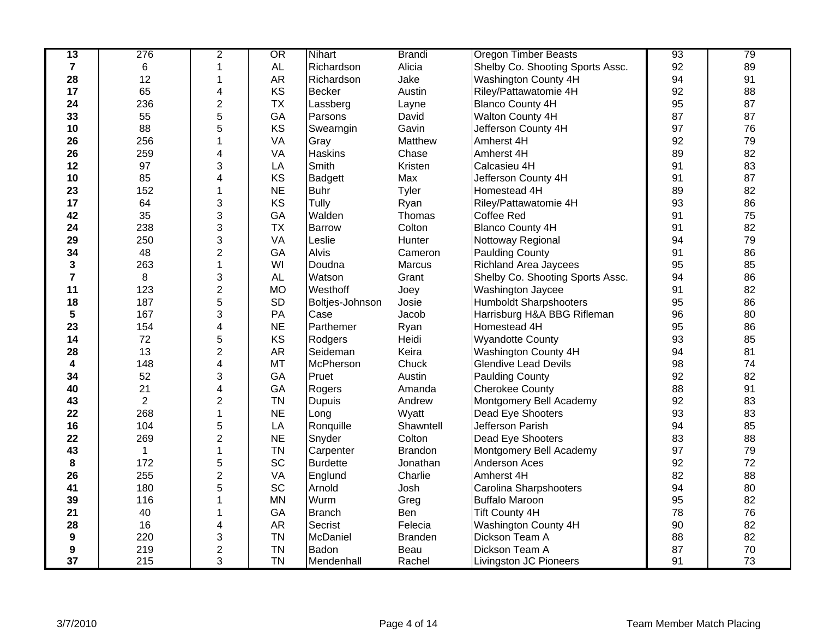| $\overline{13}$  | 276            | $\overline{2}$          | OR        | <b>Nihart</b>   | <b>Brandi</b>  | <b>Oregon Timber Beasts</b>      | 93 | 79 |
|------------------|----------------|-------------------------|-----------|-----------------|----------------|----------------------------------|----|----|
| $\overline{7}$   | 6              |                         | <b>AL</b> | Richardson      | Alicia         | Shelby Co. Shooting Sports Assc. | 92 | 89 |
| 28               | 12             | 1                       | AR        | Richardson      | Jake           | Washington County 4H             | 94 | 91 |
| 17               | 65             | 4                       | KS        | <b>Becker</b>   | Austin         | Riley/Pattawatomie 4H            | 92 | 88 |
| 24               | 236            | $\overline{2}$          | <b>TX</b> | Lassberg        | Layne          | <b>Blanco County 4H</b>          | 95 | 87 |
| 33               | 55             | 5                       | GA        | Parsons         | David          | Walton County 4H                 | 87 | 87 |
| 10               | 88             | 5                       | <b>KS</b> | Swearngin       | Gavin          | Jefferson County 4H              | 97 | 76 |
| 26               | 256            |                         | VA        | Gray            | Matthew        | Amherst 4H                       | 92 | 79 |
| 26               | 259            | 4                       | VA        | <b>Haskins</b>  | Chase          | Amherst 4H                       | 89 | 82 |
| 12               | 97             | 3                       | LA        | Smith           | Kristen        | Calcasieu 4H                     | 91 | 83 |
| 10               | 85             | 4                       | KS        | <b>Badgett</b>  | Max            | Jefferson County 4H              | 91 | 87 |
| 23               | 152            | 1                       | <b>NE</b> | <b>Buhr</b>     | Tyler          | Homestead 4H                     | 89 | 82 |
| 17               | 64             | 3                       | KS        | Tully           | Ryan           | Riley/Pattawatomie 4H            | 93 | 86 |
| 42               | 35             | 3                       | GA        | Walden          | Thomas         | <b>Coffee Red</b>                | 91 | 75 |
| 24               | 238            | 3                       | <b>TX</b> | Barrow          | Colton         | <b>Blanco County 4H</b>          | 91 | 82 |
| 29               | 250            | 3                       | VA        | Leslie          | Hunter         | Nottoway Regional                | 94 | 79 |
| 34               | 48             | $\overline{c}$          | GA        | <b>Alvis</b>    | Cameron        | <b>Paulding County</b>           | 91 | 86 |
| 3                | 263            | $\mathbf 1$             | WI        | Doudna          | Marcus         | <b>Richland Area Jaycees</b>     | 95 | 85 |
| $\overline{7}$   | 8              | 3                       | <b>AL</b> | Watson          | Grant          | Shelby Co. Shooting Sports Assc. | 94 | 86 |
| 11               | 123            | $\overline{2}$          | <b>MO</b> | Westhoff        | Joey           | Washington Jaycee                | 91 | 82 |
| 18               | 187            | 5                       | <b>SD</b> | Boltjes-Johnson | Josie          | <b>Humboldt Sharpshooters</b>    | 95 | 86 |
| 5                | 167            | 3                       | PA        | Case            | Jacob          | Harrisburg H&A BBG Rifleman      | 96 | 80 |
| 23               | 154            | 4                       | <b>NE</b> | Parthemer       | Ryan           | Homestead 4H                     | 95 | 86 |
| 14               | 72             | 5                       | KS        | Rodgers         | Heidi          | <b>Wyandotte County</b>          | 93 | 85 |
| 28               | 13             | $\overline{2}$          | AR        | Seideman        | Keira          | Washington County 4H             | 94 | 81 |
| 4                | 148            | 4                       | MT        | McPherson       | Chuck          | <b>Glendive Lead Devils</b>      | 98 | 74 |
| 34               | 52             | 3                       | GA        | Pruet           | Austin         | <b>Paulding County</b>           | 92 | 82 |
| 40               | 21             | 4                       | GA        | Rogers          | Amanda         | <b>Cherokee County</b>           | 88 | 91 |
| 43               | $\overline{2}$ | $\overline{\mathbf{c}}$ | <b>TN</b> | <b>Dupuis</b>   | Andrew         | Montgomery Bell Academy          | 92 | 83 |
| 22               | 268            | 1                       | <b>NE</b> | Long            | Wyatt          | Dead Eye Shooters                | 93 | 83 |
| 16               | 104            | 5                       | LA        | Ronquille       | Shawntell      | Jefferson Parish                 | 94 | 85 |
| 22               | 269            | $\overline{c}$          | <b>NE</b> | Snyder          | Colton         | Dead Eye Shooters                | 83 | 88 |
| 43               | $\mathbf{1}$   | 1                       | <b>TN</b> | Carpenter       | <b>Brandon</b> | Montgomery Bell Academy          | 97 | 79 |
| 8                | 172            | 5                       | SC        | <b>Burdette</b> | Jonathan       | <b>Anderson Aces</b>             | 92 | 72 |
| 26               | 255            | $\overline{\mathbf{c}}$ | VA        | Englund         | Charlie        | Amherst 4H                       | 82 | 88 |
| 41               | 180            | 5                       | SC        | Arnold          | Josh           | Carolina Sharpshooters           | 94 | 80 |
| 39               | 116            |                         | <b>MN</b> | Wurm            | Greg           | <b>Buffalo Maroon</b>            | 95 | 82 |
| 21               | 40             |                         | GA        | <b>Branch</b>   | Ben            | <b>Tift County 4H</b>            | 78 | 76 |
| 28               | 16             | 4                       | <b>AR</b> | Secrist         | Felecia        | Washington County 4H             | 90 | 82 |
| $\boldsymbol{9}$ | 220            | 3                       | <b>TN</b> | McDaniel        | <b>Branden</b> | Dickson Team A                   | 88 | 82 |
| 9                | 219            | $\overline{c}$          | <b>TN</b> | Badon           | Beau           | Dickson Team A                   | 87 | 70 |
| 37               | 215            | 3                       | <b>TN</b> | Mendenhall      | Rachel         | <b>Livingston JC Pioneers</b>    | 91 | 73 |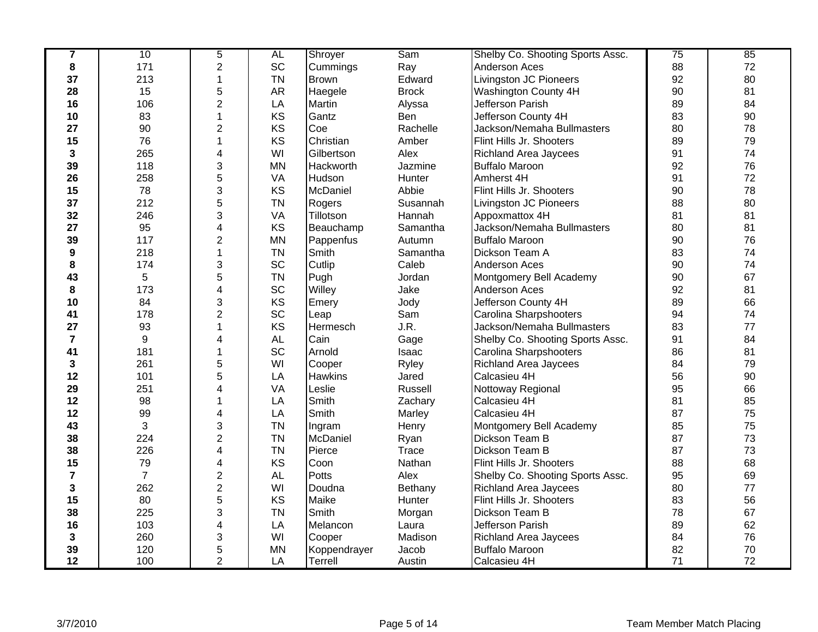| 7              | 10               | 5              | AL        | Shroyer        | Sam          | Shelby Co. Shooting Sports Assc. | 75 | 85 |
|----------------|------------------|----------------|-----------|----------------|--------------|----------------------------------|----|----|
| 8              | 171              | $\overline{2}$ | SC        | Cummings       | Ray          | Anderson Aces                    | 88 | 72 |
| 37             | 213              | 1              | <b>TN</b> | <b>Brown</b>   | Edward       | <b>Livingston JC Pioneers</b>    | 92 | 80 |
| 28             | 15               | 5              | <b>AR</b> | Haegele        | <b>Brock</b> | <b>Washington County 4H</b>      | 90 | 81 |
| 16             | 106              | $\overline{2}$ | LA        | Martin         | Alyssa       | Jefferson Parish                 | 89 | 84 |
| 10             | 83               | 1              | KS        | Gantz          | Ben          | Jefferson County 4H              | 83 | 90 |
| 27             | 90               | 2              | KS        | Coe            | Rachelle     | Jackson/Nemaha Bullmasters       | 80 | 78 |
| 15             | 76               | 1              | KS        | Christian      | Amber        | Flint Hills Jr. Shooters         | 89 | 79 |
| 3              | 265              | 4              | WI        | Gilbertson     | Alex         | <b>Richland Area Jaycees</b>     | 91 | 74 |
| 39             | 118              | 3              | <b>MN</b> | Hackworth      | Jazmine      | <b>Buffalo Maroon</b>            | 92 | 76 |
| 26             | 258              | 5              | VA        | Hudson         | Hunter       | Amherst 4H                       | 91 | 72 |
| 15             | 78               | 3              | KS        | McDaniel       | Abbie        | Flint Hills Jr. Shooters         | 90 | 78 |
| 37             | 212              | 5              | <b>TN</b> | Rogers         | Susannah     | <b>Livingston JC Pioneers</b>    | 88 | 80 |
| 32             | 246              | 3              | VA        | Tillotson      | Hannah       | Appoxmattox 4H                   | 81 | 81 |
| 27             | 95               | 4              | KS        | Beauchamp      | Samantha     | Jackson/Nemaha Bullmasters       | 80 | 81 |
| 39             | 117              | $\overline{2}$ | <b>MN</b> | Pappenfus      | Autumn       | <b>Buffalo Maroon</b>            | 90 | 76 |
| 9              | 218              | 1              | <b>TN</b> | Smith          | Samantha     | Dickson Team A                   | 83 | 74 |
| 8              | 174              | 3              | SC        | Cutlip         | Caleb        | Anderson Aces                    | 90 | 74 |
| 43             | 5                | 5              | <b>TN</b> | Pugh           | Jordan       | Montgomery Bell Academy          | 90 | 67 |
| 8              | 173              | 4              | SC        | Willey         | Jake         | Anderson Aces                    | 92 | 81 |
| 10             | 84               | 3              | KS        | Emery          | Jody         | Jefferson County 4H              | 89 | 66 |
| 41             | 178              | $\overline{2}$ | SC        | Leap           | Sam          | Carolina Sharpshooters           | 94 | 74 |
| 27             | 93               | 1              | KS        | Hermesch       | J.R.         | Jackson/Nemaha Bullmasters       | 83 | 77 |
| $\overline{7}$ | $\boldsymbol{9}$ | 4              | <b>AL</b> | Cain           | Gage         | Shelby Co. Shooting Sports Assc. | 91 | 84 |
| 41             | 181              | 1              | SC        | Arnold         | Isaac        | Carolina Sharpshooters           | 86 | 81 |
| 3              | 261              | 5              | WI        | Cooper         | Ryley        | <b>Richland Area Jaycees</b>     | 84 | 79 |
| 12             | 101              | 5              | LA        | <b>Hawkins</b> | Jared        | Calcasieu 4H                     | 56 | 90 |
| 29             | 251              | 4              | VA        | Leslie         | Russell      | Nottoway Regional                | 95 | 66 |
| 12             | 98               | 1              | LA        | Smith          | Zachary      | Calcasieu 4H                     | 81 | 85 |
| 12             | 99               | 4              | LA        | Smith          | Marley       | Calcasieu 4H                     | 87 | 75 |
| 43             | 3                | 3              | <b>TN</b> | Ingram         | Henry        | Montgomery Bell Academy          | 85 | 75 |
| 38             | 224              | $\overline{2}$ | <b>TN</b> | McDaniel       | Ryan         | Dickson Team B                   | 87 | 73 |
| 38             | 226              | 4              | <b>TN</b> | Pierce         | Trace        | Dickson Team B                   | 87 | 73 |
| 15             | 79               | 4              | KS        | Coon           | Nathan       | Flint Hills Jr. Shooters         | 88 | 68 |
| $\overline{7}$ | $\overline{7}$   | $\overline{2}$ | <b>AL</b> | Potts          | Alex         | Shelby Co. Shooting Sports Assc. | 95 | 69 |
| 3              | 262              | $\overline{2}$ | WI        | Doudna         | Bethany      | Richland Area Jaycees            | 80 | 77 |
| 15             | 80               | 5              | KS        | Maike          | Hunter       | Flint Hills Jr. Shooters         | 83 | 56 |
| 38             | 225              | 3              | <b>TN</b> | Smith          | Morgan       | Dickson Team B                   | 78 | 67 |
| 16             | 103              | 4              | LA        | Melancon       | Laura        | Jefferson Parish                 | 89 | 62 |
| 3              | 260              | 3              | WI        | Cooper         | Madison      | <b>Richland Area Jaycees</b>     | 84 | 76 |
| 39             | 120              | 5              | <b>MN</b> | Koppendrayer   | Jacob        | <b>Buffalo Maroon</b>            | 82 | 70 |
| 12             | 100              | $\overline{2}$ | LA        | Terrell        | Austin       | Calcasieu 4H                     | 71 | 72 |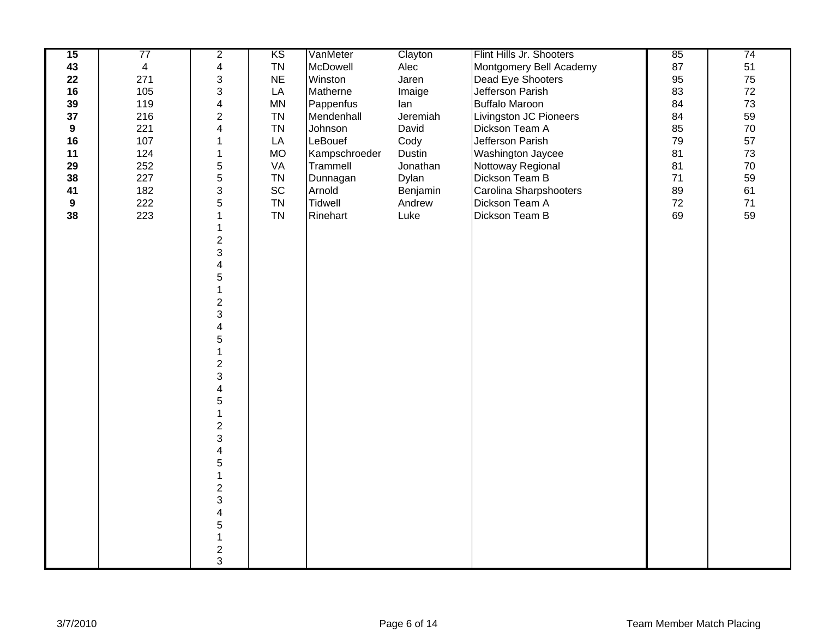| 15               | 77             | $\overline{2}$            | KS        | VanMeter       | Clayton  | Flint Hills Jr. Shooters | 85     | 74     |
|------------------|----------------|---------------------------|-----------|----------------|----------|--------------------------|--------|--------|
| 43               | $\overline{4}$ | $\overline{\mathbf{4}}$   | <b>TN</b> | McDowell       | Alec     | Montgomery Bell Academy  | 87     | 51     |
| 22               | 271            | $\ensuremath{\mathsf{3}}$ | <b>NE</b> | Winston        | Jaren    | Dead Eye Shooters        | 95     | 75     |
| 16               | 105            | $\ensuremath{\mathsf{3}}$ | LA        | Matherne       | Imaige   | Jefferson Parish         | 83     | 72     |
| 39               | 119            | $\overline{\mathbf{4}}$   | <b>MN</b> | Pappenfus      | lan      | <b>Buffalo Maroon</b>    | 84     | 73     |
| 37               | 216            | $\overline{c}$            | <b>TN</b> | Mendenhall     | Jeremiah | Livingston JC Pioneers   | 84     | 59     |
| $\boldsymbol{9}$ | 221            | 4                         | <b>TN</b> | Johnson        | David    | Dickson Team A           | 85     | $70\,$ |
| 16               | 107            | 1                         | LA        | LeBouef        | Cody     | Jefferson Parish         | 79     | 57     |
| 11               | 124            | $\mathbf 1$               | <b>MO</b> | Kampschroeder  | Dustin   | Washington Jaycee        | 81     | 73     |
| 29               | 252            | 5                         | VA        | Trammell       | Jonathan | Nottoway Regional        | 81     | 70     |
| 38               | 227            | 5                         | <b>TN</b> | Dunnagan       | Dylan    | Dickson Team B           | 71     | 59     |
| 41               | 182            | $\mathfrak{S}$            | SC        | Arnold         | Benjamin | Carolina Sharpshooters   | 89     | 61     |
| 9                | 222            | $\overline{5}$            | <b>TN</b> | <b>Tidwell</b> | Andrew   | Dickson Team A           | $72\,$ | $71$   |
| 38               | 223            | $\mathbf{1}$              | <b>TN</b> | Rinehart       | Luke     | Dickson Team B           | 69     | 59     |
|                  |                | $\mathbf 1$               |           |                |          |                          |        |        |
|                  |                |                           |           |                |          |                          |        |        |
|                  |                | $\frac{2}{3}$             |           |                |          |                          |        |        |
|                  |                | $\overline{\mathbf{4}}$   |           |                |          |                          |        |        |
|                  |                | 5                         |           |                |          |                          |        |        |
|                  |                | $\mathbf 1$               |           |                |          |                          |        |        |
|                  |                | $\overline{2}$            |           |                |          |                          |        |        |
|                  |                | 3                         |           |                |          |                          |        |        |
|                  |                | $\overline{\mathbf{4}}$   |           |                |          |                          |        |        |
|                  |                | 5                         |           |                |          |                          |        |        |
|                  |                | $\mathbf{1}$              |           |                |          |                          |        |        |
|                  |                | $\overline{c}$            |           |                |          |                          |        |        |
|                  |                | 3                         |           |                |          |                          |        |        |
|                  |                | $\overline{\mathbf{4}}$   |           |                |          |                          |        |        |
|                  |                | 5                         |           |                |          |                          |        |        |
|                  |                | $\mathbf{1}$              |           |                |          |                          |        |        |
|                  |                | $\overline{2}$            |           |                |          |                          |        |        |
|                  |                | 3                         |           |                |          |                          |        |        |
|                  |                | $\overline{\mathbf{4}}$   |           |                |          |                          |        |        |
|                  |                | $\overline{5}$            |           |                |          |                          |        |        |
|                  |                | $\mathbf{1}$              |           |                |          |                          |        |        |
|                  |                | $\overline{c}$            |           |                |          |                          |        |        |
|                  |                | $\mathbf{3}$              |           |                |          |                          |        |        |
|                  |                | 4                         |           |                |          |                          |        |        |
|                  |                | 5                         |           |                |          |                          |        |        |
|                  |                | $\mathbf{1}$              |           |                |          |                          |        |        |
|                  |                | $\frac{2}{3}$             |           |                |          |                          |        |        |
|                  |                |                           |           |                |          |                          |        |        |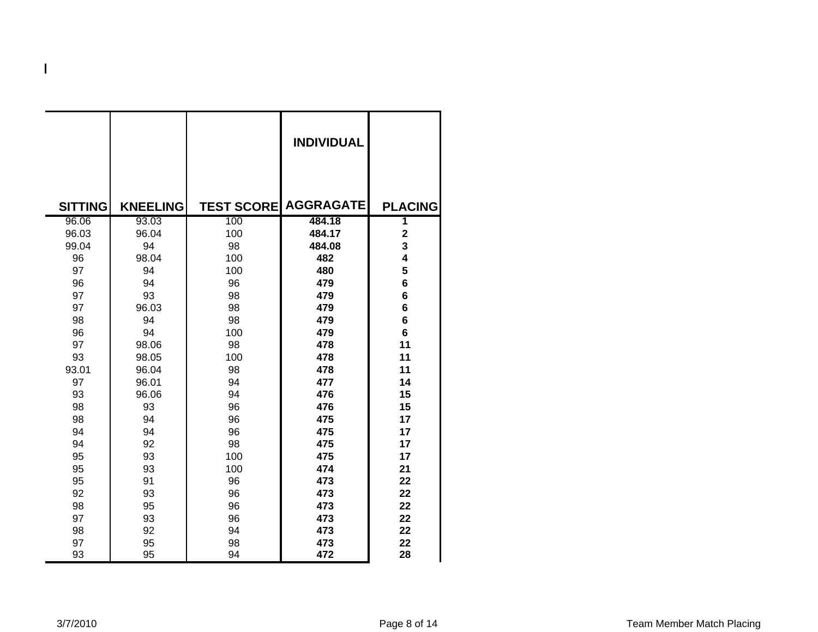|                |                 |                   | <b>INDIVIDUAL</b> |                |
|----------------|-----------------|-------------------|-------------------|----------------|
| <b>SITTING</b> | <b>KNEELING</b> | <b>TEST SCORE</b> | <b>AGGRAGATE</b>  | <b>PLACING</b> |
| 96.06          | 93.03           | 100               | 484.18            | 1              |
| 96.03          | 96.04           | 100               | 484.17            | $\mathbf 2$    |
| 99.04          | 94              | 98                | 484.08            | 3              |
| 96             | 98.04           | 100               | 482               | 4              |
| 97             | 94              | 100               | 480               | 5              |
| 96             | 94              | 96                | 479               | 6              |
| 97             | 93              | 98                | 479               | 6              |
| 97             | 96.03           | 98                | 479               | 6              |
| 98             | 94              | 98                | 479               | 6              |
| 96             | 94              | 100               | 479               | 6              |
| 97             | 98.06           | 98                | 478               | 11             |
| 93             | 98.05           | 100               | 478               | 11             |
| 93.01          | 96.04           | 98                | 478               | 11             |
| 97             | 96.01           | 94                | 477               | 14             |
| 93             | 96.06           | 94                | 476               | 15             |
| 98             | 93              | 96                | 476               | 15             |
| 98             | 94              | 96                | 475               | 17             |
| 94             | 94              | 96                | 475               | 17             |
| 94             | 92              | 98                | 475               | 17             |
| 95             | 93              | 100               | 475               | 17             |
| 95             | 93              | 100               | 474               | 21             |
| 95             | 91              | 96                | 473               | 22             |
| 92             | 93              | 96                | 473               | 22             |
| 98             | 95              | 96                | 473               | 22             |
| 97             | 93              | 96                | 473               | 22             |
| 98             | 92              | 94                | 473               | 22             |
| 97             | 95              | 98                | 473               | 22             |
| 93             | 95              | 94                | 472               | 28             |

**H**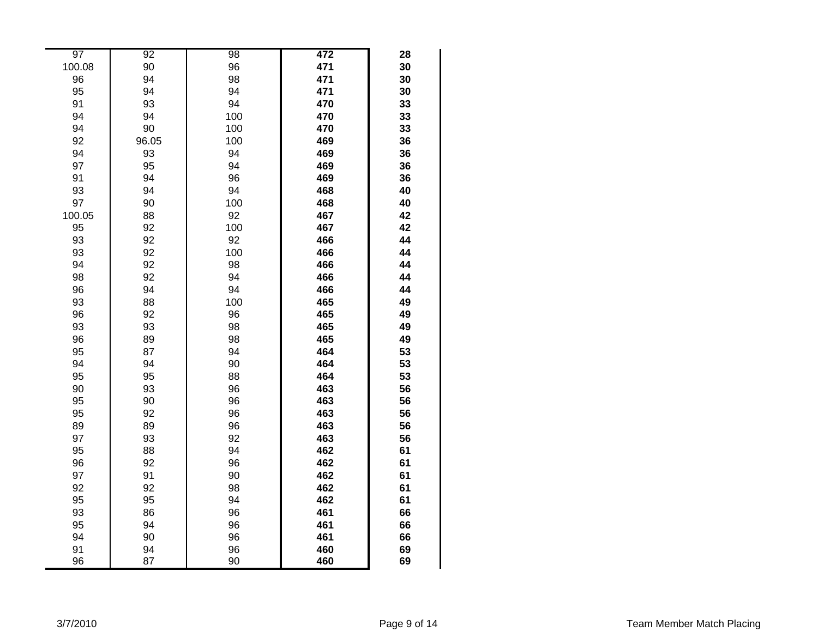| 97     | 92    | 98  | 472 | 28 |
|--------|-------|-----|-----|----|
| 100.08 | 90    | 96  | 471 | 30 |
| 96     | 94    | 98  | 471 | 30 |
| 95     | 94    | 94  | 471 | 30 |
| 91     | 93    | 94  | 470 | 33 |
| 94     | 94    | 100 | 470 | 33 |
| 94     | 90    | 100 | 470 | 33 |
| 92     | 96.05 | 100 | 469 | 36 |
| 94     | 93    | 94  | 469 | 36 |
| 97     | 95    | 94  | 469 | 36 |
| 91     | 94    | 96  | 469 | 36 |
| 93     | 94    | 94  | 468 | 40 |
| 97     | 90    | 100 | 468 | 40 |
| 100.05 | 88    | 92  | 467 | 42 |
| 95     | 92    | 100 | 467 | 42 |
| 93     | 92    | 92  | 466 | 44 |
| 93     | 92    | 100 | 466 | 44 |
| 94     | 92    | 98  | 466 | 44 |
| 98     | 92    | 94  | 466 | 44 |
| 96     | 94    | 94  | 466 | 44 |
| 93     | 88    | 100 | 465 | 49 |
| 96     | 92    | 96  | 465 | 49 |
| 93     | 93    | 98  | 465 | 49 |
| 96     | 89    | 98  | 465 | 49 |
| 95     | 87    | 94  | 464 | 53 |
| 94     | 94    | 90  | 464 | 53 |
| 95     | 95    | 88  | 464 | 53 |
| 90     | 93    | 96  | 463 | 56 |
| 95     | 90    | 96  | 463 | 56 |
| 95     | 92    | 96  | 463 | 56 |
| 89     | 89    | 96  | 463 | 56 |
| 97     | 93    | 92  | 463 | 56 |
| 95     | 88    | 94  | 462 | 61 |
| 96     | 92    | 96  | 462 | 61 |
| 97     | 91    | 90  | 462 | 61 |
| 92     | 92    | 98  | 462 | 61 |
| 95     | 95    | 94  | 462 | 61 |
| 93     | 86    | 96  | 461 | 66 |
| 95     | 94    | 96  | 461 | 66 |
| 94     | 90    | 96  | 461 | 66 |
| 91     | 94    | 96  | 460 | 69 |
| 96     | 87    | 90  | 460 | 69 |
|        |       |     |     |    |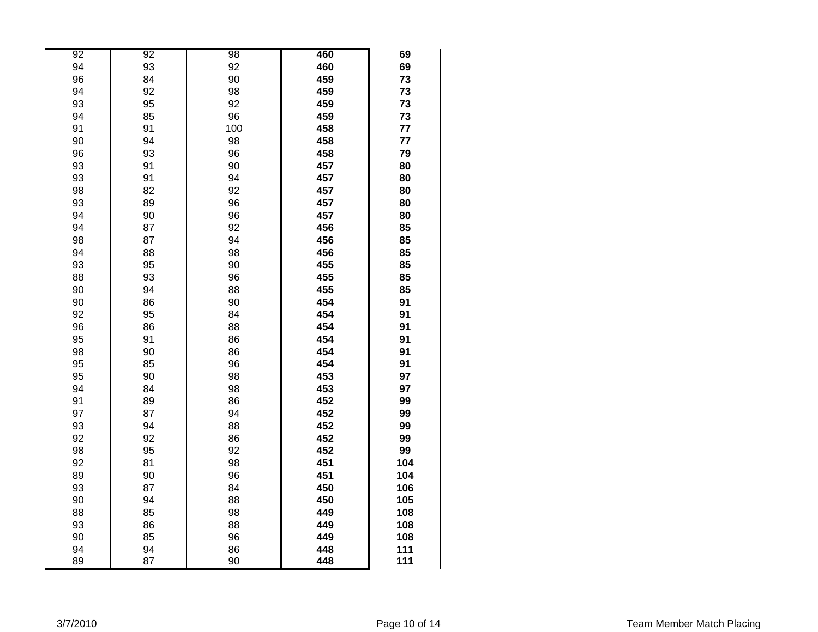| 92 | 92 | 98  | 460 | 69  |
|----|----|-----|-----|-----|
| 94 | 93 | 92  | 460 | 69  |
| 96 | 84 | 90  | 459 | 73  |
| 94 | 92 | 98  | 459 | 73  |
| 93 | 95 | 92  | 459 | 73  |
| 94 | 85 | 96  | 459 | 73  |
| 91 | 91 | 100 | 458 | 77  |
| 90 | 94 | 98  | 458 | 77  |
| 96 | 93 | 96  | 458 | 79  |
| 93 | 91 | 90  | 457 | 80  |
| 93 | 91 | 94  | 457 | 80  |
| 98 | 82 | 92  | 457 | 80  |
| 93 | 89 | 96  | 457 | 80  |
| 94 | 90 | 96  | 457 | 80  |
| 94 | 87 | 92  | 456 | 85  |
| 98 | 87 | 94  | 456 | 85  |
| 94 | 88 | 98  | 456 | 85  |
| 93 | 95 | 90  | 455 | 85  |
| 88 | 93 | 96  | 455 | 85  |
| 90 | 94 | 88  | 455 | 85  |
| 90 | 86 | 90  | 454 | 91  |
| 92 | 95 | 84  | 454 | 91  |
| 96 | 86 | 88  | 454 | 91  |
| 95 | 91 | 86  | 454 | 91  |
| 98 | 90 | 86  | 454 | 91  |
| 95 | 85 | 96  | 454 | 91  |
| 95 | 90 | 98  | 453 | 97  |
| 94 | 84 | 98  | 453 | 97  |
| 91 | 89 | 86  | 452 | 99  |
| 97 | 87 | 94  | 452 | 99  |
| 93 | 94 | 88  | 452 | 99  |
| 92 | 92 | 86  | 452 | 99  |
| 98 | 95 | 92  | 452 | 99  |
| 92 | 81 | 98  | 451 | 104 |
| 89 | 90 | 96  | 451 | 104 |
| 93 | 87 | 84  | 450 | 106 |
| 90 | 94 | 88  | 450 | 105 |
| 88 | 85 | 98  | 449 | 108 |
| 93 | 86 | 88  | 449 | 108 |
| 90 | 85 | 96  | 449 | 108 |
| 94 | 94 | 86  | 448 | 111 |
| 89 | 87 | 90  | 448 | 111 |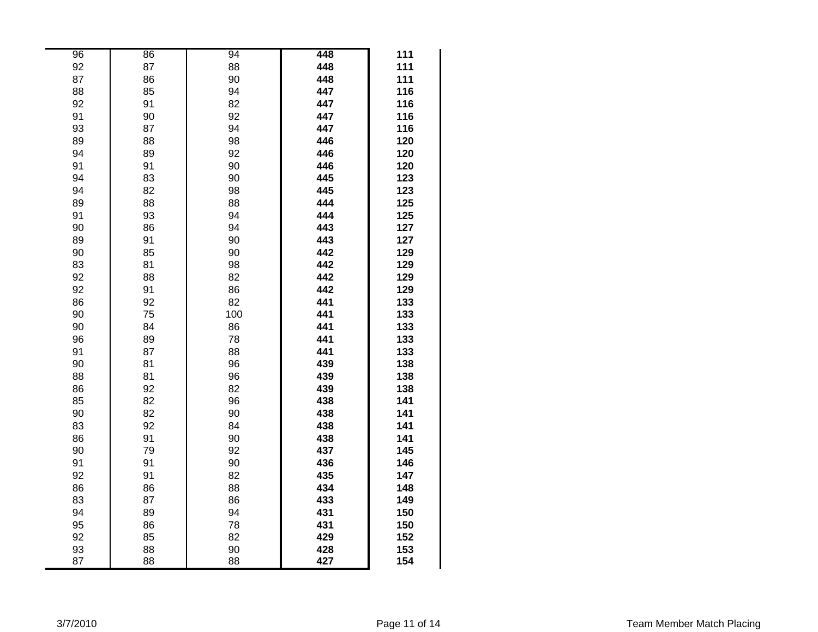| 96 | 86 | 94  | 448 | 111 |
|----|----|-----|-----|-----|
| 92 | 87 | 88  | 448 | 111 |
| 87 | 86 | 90  | 448 | 111 |
| 88 | 85 | 94  | 447 | 116 |
| 92 | 91 | 82  | 447 | 116 |
| 91 | 90 | 92  | 447 | 116 |
| 93 | 87 | 94  | 447 | 116 |
| 89 | 88 | 98  | 446 | 120 |
| 94 | 89 | 92  | 446 | 120 |
| 91 | 91 | 90  | 446 | 120 |
| 94 | 83 | 90  | 445 | 123 |
| 94 | 82 | 98  | 445 | 123 |
| 89 | 88 | 88  | 444 | 125 |
| 91 | 93 | 94  | 444 | 125 |
| 90 | 86 | 94  | 443 | 127 |
| 89 | 91 | 90  | 443 | 127 |
| 90 | 85 | 90  | 442 | 129 |
| 83 | 81 | 98  | 442 | 129 |
| 92 | 88 | 82  | 442 | 129 |
| 92 | 91 | 86  | 442 | 129 |
| 86 | 92 | 82  | 441 | 133 |
| 90 | 75 | 100 | 441 | 133 |
| 90 | 84 | 86  | 441 | 133 |
| 96 | 89 | 78  | 441 | 133 |
| 91 | 87 | 88  | 441 | 133 |
| 90 | 81 | 96  | 439 | 138 |
| 88 | 81 | 96  | 439 | 138 |
| 86 | 92 | 82  | 439 | 138 |
| 85 | 82 | 96  | 438 | 141 |
| 90 | 82 | 90  | 438 | 141 |
| 83 | 92 | 84  | 438 | 141 |
| 86 | 91 | 90  | 438 | 141 |
| 90 | 79 | 92  | 437 | 145 |
| 91 | 91 | 90  | 436 | 146 |
| 92 | 91 | 82  | 435 | 147 |
| 86 | 86 | 88  | 434 | 148 |
| 83 | 87 | 86  | 433 | 149 |
| 94 | 89 | 94  | 431 | 150 |
| 95 | 86 | 78  | 431 | 150 |
| 92 | 85 | 82  | 429 | 152 |
| 93 | 88 | 90  | 428 | 153 |
| 87 | 88 | 88  | 427 | 154 |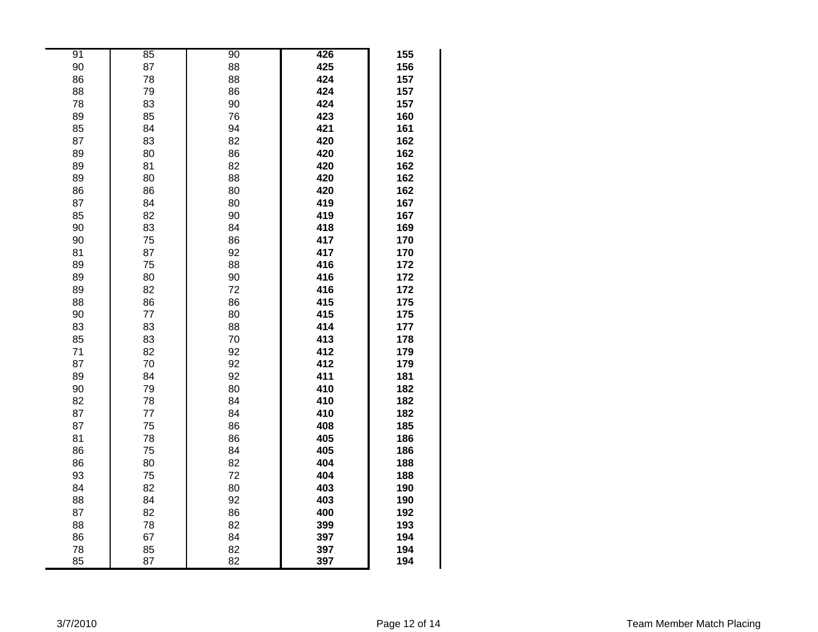| 91 | 85 | 90 | 426 | 155 |
|----|----|----|-----|-----|
| 90 | 87 | 88 | 425 | 156 |
| 86 | 78 | 88 | 424 | 157 |
| 88 | 79 | 86 | 424 | 157 |
| 78 | 83 | 90 | 424 | 157 |
| 89 | 85 | 76 | 423 | 160 |
| 85 | 84 | 94 | 421 | 161 |
| 87 | 83 | 82 | 420 | 162 |
| 89 | 80 | 86 | 420 | 162 |
| 89 | 81 | 82 | 420 | 162 |
| 89 | 80 | 88 | 420 | 162 |
| 86 | 86 | 80 | 420 | 162 |
| 87 | 84 | 80 | 419 | 167 |
| 85 | 82 | 90 | 419 | 167 |
| 90 | 83 | 84 | 418 | 169 |
| 90 | 75 | 86 | 417 | 170 |
| 81 | 87 | 92 | 417 | 170 |
| 89 | 75 | 88 | 416 | 172 |
| 89 | 80 | 90 | 416 | 172 |
| 89 | 82 | 72 | 416 | 172 |
| 88 | 86 | 86 | 415 | 175 |
| 90 | 77 | 80 | 415 | 175 |
| 83 | 83 | 88 | 414 | 177 |
| 85 | 83 | 70 | 413 | 178 |
| 71 | 82 | 92 | 412 | 179 |
| 87 | 70 | 92 | 412 | 179 |
| 89 | 84 | 92 | 411 | 181 |
| 90 | 79 | 80 | 410 | 182 |
| 82 | 78 | 84 | 410 | 182 |
| 87 | 77 | 84 | 410 | 182 |
| 87 | 75 | 86 | 408 | 185 |
| 81 | 78 | 86 | 405 | 186 |
| 86 | 75 | 84 | 405 | 186 |
| 86 | 80 | 82 | 404 | 188 |
| 93 | 75 | 72 | 404 | 188 |
| 84 | 82 | 80 | 403 | 190 |
| 88 | 84 | 92 | 403 | 190 |
| 87 | 82 | 86 | 400 | 192 |
| 88 | 78 | 82 | 399 | 193 |
| 86 | 67 | 84 | 397 | 194 |
| 78 | 85 | 82 | 397 | 194 |
| 85 | 87 | 82 | 397 | 194 |